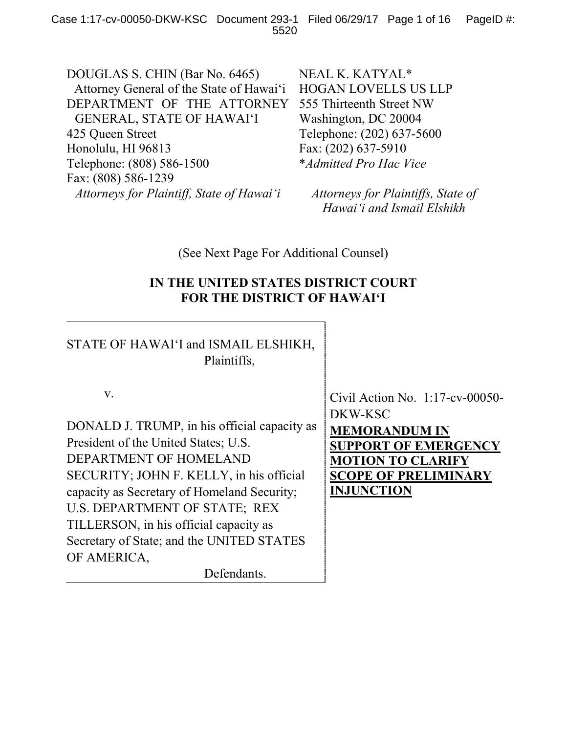DOUGLAS S. CHIN (Bar No. 6465) Attorney General of the State of Hawai'i DEPARTMENT OF THE ATTORNEY GENERAL, STATE OF HAWAI'I 425 Queen Street Honolulu, HI 96813 Telephone: (808) 586-1500 Fax: (808) 586-1239 *Attorneys for Plaintiff, State of Hawai'i*

NEAL K. KATYAL\* HOGAN LOVELLS US LLP 555 Thirteenth Street NW Washington, DC 20004 Telephone: (202) 637-5600 Fax: (202) 637-5910 \**Admitted Pro Hac Vice*

*Attorneys for Plaintiffs, State of Hawai'i and Ismail Elshikh*

(See Next Page For Additional Counsel)

# **IN THE UNITED STATES DISTRICT COURT FOR THE DISTRICT OF HAWAI'I**

STATE OF HAWAI'I and ISMAIL ELSHIKH, Plaintiffs,

v.

DONALD J. TRUMP, in his official capacity as President of the United States; U.S. DEPARTMENT OF HOMELAND SECURITY; JOHN F. KELLY, in his official capacity as Secretary of Homeland Security; U.S. DEPARTMENT OF STATE; REX TILLERSON, in his official capacity as Secretary of State; and the UNITED STATES OF AMERICA,

Defendants.

Civil Action No. 1:17-cv-00050- DKW-KSC **MEMORANDUM IN SUPPORT OF EMERGENCY MOTION TO CLARIFY SCOPE OF PRELIMINARY INJUNCTION**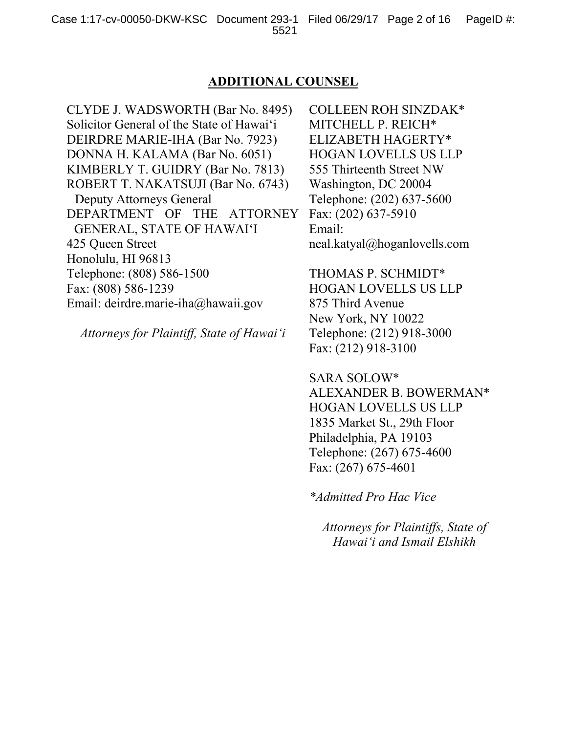## **ADDITIONAL COUNSEL**

CLYDE J. WADSWORTH (Bar No. 8495) Solicitor General of the State of Hawai'i DEIRDRE MARIE-IHA (Bar No. 7923) DONNA H. KALAMA (Bar No. 6051) KIMBERLY T. GUIDRY (Bar No. 7813) ROBERT T. NAKATSUJI (Bar No. 6743) Deputy Attorneys General DEPARTMENT OF THE ATTORNEY GENERAL, STATE OF HAWAI'I 425 Queen Street Honolulu, HI 96813 Telephone: (808) 586-1500 Fax: (808) 586-1239 Email: deirdre.marie-iha@hawaii.gov

*Attorneys for Plaintiff, State of Hawai'i*

COLLEEN ROH SINZDAK\* MITCHELL P. REICH\* ELIZABETH HAGERTY\* HOGAN LOVELLS US LLP 555 Thirteenth Street NW Washington, DC 20004 Telephone: (202) 637-5600 Fax: (202) 637-5910 Email: neal.katyal@hoganlovells.com

THOMAS P. SCHMIDT\* HOGAN LOVELLS US LLP 875 Third Avenue New York, NY 10022 Telephone: (212) 918-3000 Fax: (212) 918-3100

SARA SOLOW\* ALEXANDER B. BOWERMAN\* HOGAN LOVELLS US LLP 1835 Market St., 29th Floor Philadelphia, PA 19103 Telephone: (267) 675-4600 Fax: (267) 675-4601

*\*Admitted Pro Hac Vice*

*Attorneys for Plaintiffs, State of Hawai'i and Ismail Elshikh*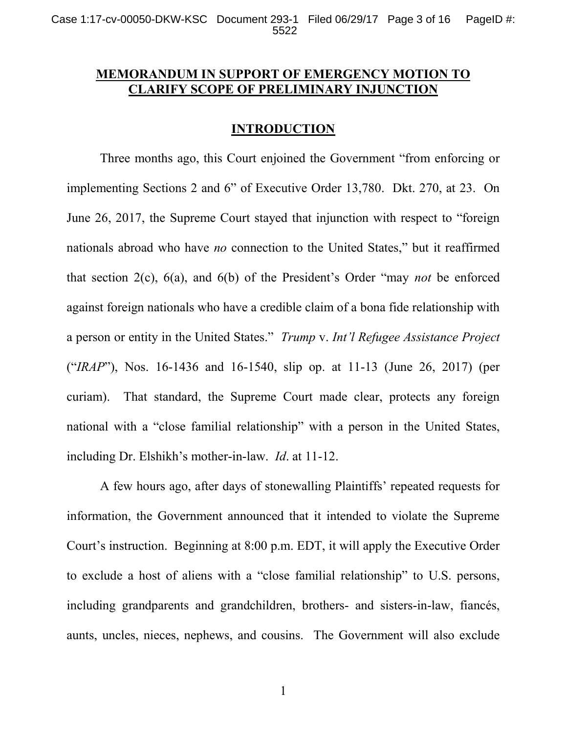# **MEMORANDUM IN SUPPORT OF EMERGENCY MOTION TO CLARIFY SCOPE OF PRELIMINARY INJUNCTION**

## **INTRODUCTION**

Three months ago, this Court enjoined the Government "from enforcing or implementing Sections 2 and 6" of Executive Order 13,780. Dkt. 270, at 23. On June 26, 2017, the Supreme Court stayed that injunction with respect to "foreign nationals abroad who have *no* connection to the United States," but it reaffirmed that section 2(c), 6(a), and 6(b) of the President's Order "may *not* be enforced against foreign nationals who have a credible claim of a bona fide relationship with a person or entity in the United States." *Trump* v. *Int'l Refugee Assistance Project* ("*IRAP*"), Nos. 16-1436 and 16-1540, slip op. at 11-13 (June 26, 2017) (per curiam). That standard, the Supreme Court made clear, protects any foreign national with a "close familial relationship" with a person in the United States, including Dr. Elshikh's mother-in-law. *Id*. at 11-12.

A few hours ago, after days of stonewalling Plaintiffs' repeated requests for information, the Government announced that it intended to violate the Supreme Court's instruction. Beginning at 8:00 p.m. EDT, it will apply the Executive Order to exclude a host of aliens with a "close familial relationship" to U.S. persons, including grandparents and grandchildren, brothers- and sisters-in-law, fiancés, aunts, uncles, nieces, nephews, and cousins. The Government will also exclude

1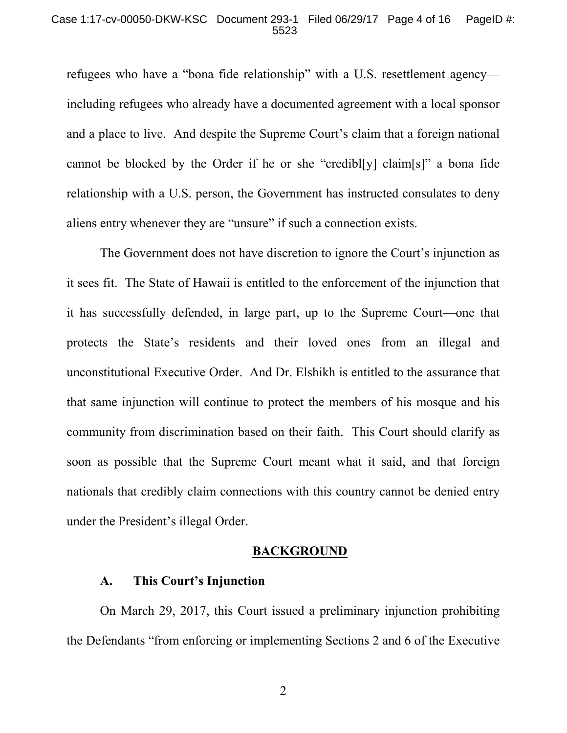#### Case 1:17-cv-00050-DKW-KSC Document 293-1 Filed 06/29/17 Page 4 of 16 PageID #: 5523

refugees who have a "bona fide relationship" with a U.S. resettlement agency including refugees who already have a documented agreement with a local sponsor and a place to live. And despite the Supreme Court's claim that a foreign national cannot be blocked by the Order if he or she "credibl[y] claim[s]" a bona fide relationship with a U.S. person, the Government has instructed consulates to deny aliens entry whenever they are "unsure" if such a connection exists.

The Government does not have discretion to ignore the Court's injunction as it sees fit. The State of Hawaii is entitled to the enforcement of the injunction that it has successfully defended, in large part, up to the Supreme Court—one that protects the State's residents and their loved ones from an illegal and unconstitutional Executive Order. And Dr. Elshikh is entitled to the assurance that that same injunction will continue to protect the members of his mosque and his community from discrimination based on their faith. This Court should clarify as soon as possible that the Supreme Court meant what it said, and that foreign nationals that credibly claim connections with this country cannot be denied entry under the President's illegal Order.

#### **BACKGROUND**

### **A. This Court's Injunction**

On March 29, 2017, this Court issued a preliminary injunction prohibiting the Defendants "from enforcing or implementing Sections 2 and 6 of the Executive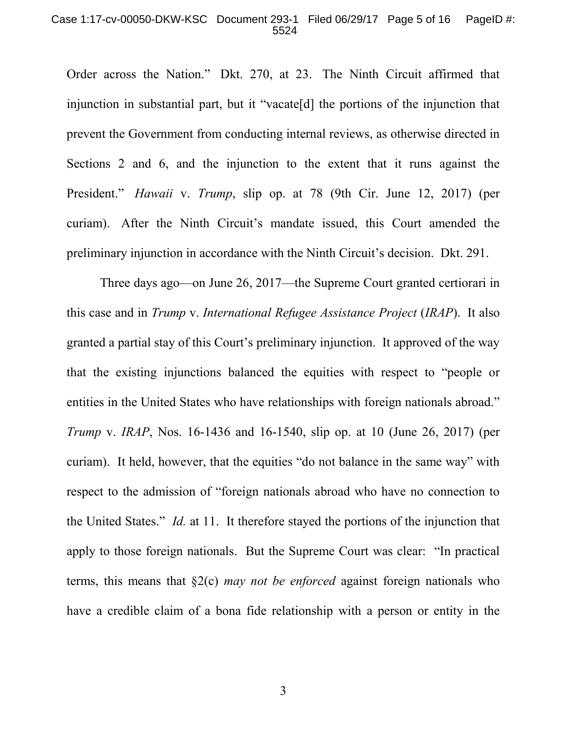#### Case 1:17-cv-00050-DKW-KSC Document 293-1 Filed 06/29/17 Page 5 of 16 PageID #: 5524

Order across the Nation." Dkt. 270, at 23. The Ninth Circuit affirmed that injunction in substantial part, but it "vacate[d] the portions of the injunction that prevent the Government from conducting internal reviews, as otherwise directed in Sections 2 and 6, and the injunction to the extent that it runs against the President." *Hawaii* v. *Trump*, slip op. at 78 (9th Cir. June 12, 2017) (per curiam). After the Ninth Circuit's mandate issued, this Court amended the preliminary injunction in accordance with the Ninth Circuit's decision. Dkt. 291.

Three days ago—on June 26, 2017—the Supreme Court granted certiorari in this case and in *Trump* v. *International Refugee Assistance Project* (*IRAP*). It also granted a partial stay of this Court's preliminary injunction. It approved of the way that the existing injunctions balanced the equities with respect to "people or entities in the United States who have relationships with foreign nationals abroad." *Trump* v. *IRAP*, Nos. 16-1436 and 16-1540, slip op. at 10 (June 26, 2017) (per curiam). It held, however, that the equities "do not balance in the same way" with respect to the admission of "foreign nationals abroad who have no connection to the United States." *Id.* at 11. It therefore stayed the portions of the injunction that apply to those foreign nationals. But the Supreme Court was clear: "In practical terms, this means that §2(c) *may not be enforced* against foreign nationals who have a credible claim of a bona fide relationship with a person or entity in the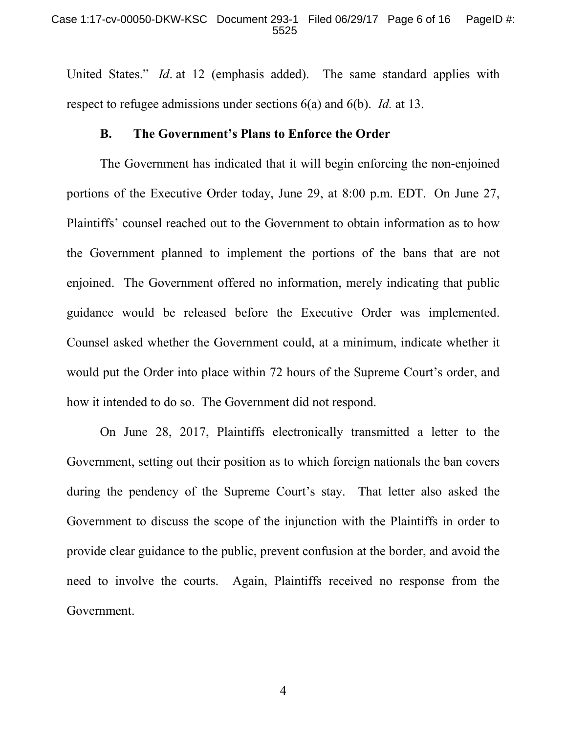United States." *Id*. at 12 (emphasis added). The same standard applies with respect to refugee admissions under sections 6(a) and 6(b). *Id.* at 13.

### **B. The Government's Plans to Enforce the Order**

The Government has indicated that it will begin enforcing the non-enjoined portions of the Executive Order today, June 29, at 8:00 p.m. EDT. On June 27, Plaintiffs' counsel reached out to the Government to obtain information as to how the Government planned to implement the portions of the bans that are not enjoined. The Government offered no information, merely indicating that public guidance would be released before the Executive Order was implemented. Counsel asked whether the Government could, at a minimum, indicate whether it would put the Order into place within 72 hours of the Supreme Court's order, and how it intended to do so. The Government did not respond.

On June 28, 2017, Plaintiffs electronically transmitted a letter to the Government, setting out their position as to which foreign nationals the ban covers during the pendency of the Supreme Court's stay. That letter also asked the Government to discuss the scope of the injunction with the Plaintiffs in order to provide clear guidance to the public, prevent confusion at the border, and avoid the need to involve the courts. Again, Plaintiffs received no response from the Government.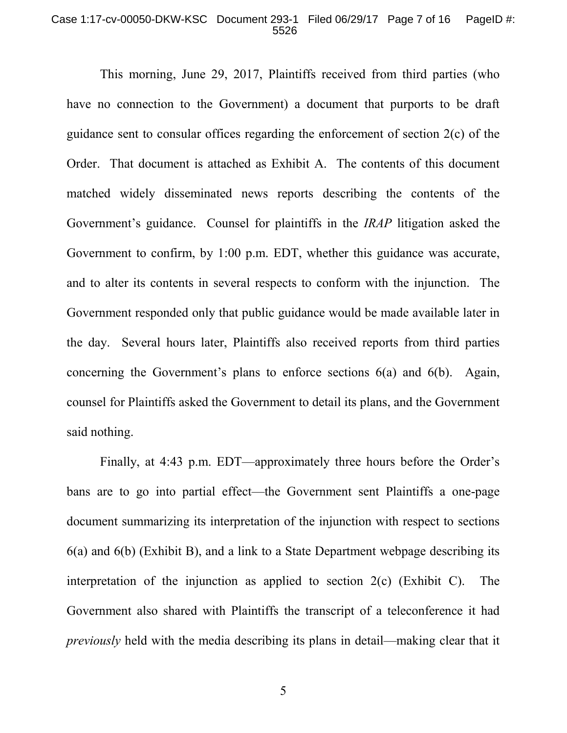### Case 1:17-cv-00050-DKW-KSC Document 293-1 Filed 06/29/17 Page 7 of 16 PageID #: 5526

This morning, June 29, 2017, Plaintiffs received from third parties (who have no connection to the Government) a document that purports to be draft guidance sent to consular offices regarding the enforcement of section 2(c) of the Order. That document is attached as Exhibit A. The contents of this document matched widely disseminated news reports describing the contents of the Government's guidance. Counsel for plaintiffs in the *IRAP* litigation asked the Government to confirm, by 1:00 p.m. EDT, whether this guidance was accurate, and to alter its contents in several respects to conform with the injunction. The Government responded only that public guidance would be made available later in the day. Several hours later, Plaintiffs also received reports from third parties concerning the Government's plans to enforce sections 6(a) and 6(b). Again, counsel for Plaintiffs asked the Government to detail its plans, and the Government said nothing.

Finally, at 4:43 p.m. EDT—approximately three hours before the Order's bans are to go into partial effect—the Government sent Plaintiffs a one-page document summarizing its interpretation of the injunction with respect to sections 6(a) and 6(b) (Exhibit B), and a link to a State Department webpage describing its interpretation of the injunction as applied to section 2(c) (Exhibit C). The Government also shared with Plaintiffs the transcript of a teleconference it had *previously* held with the media describing its plans in detail—making clear that it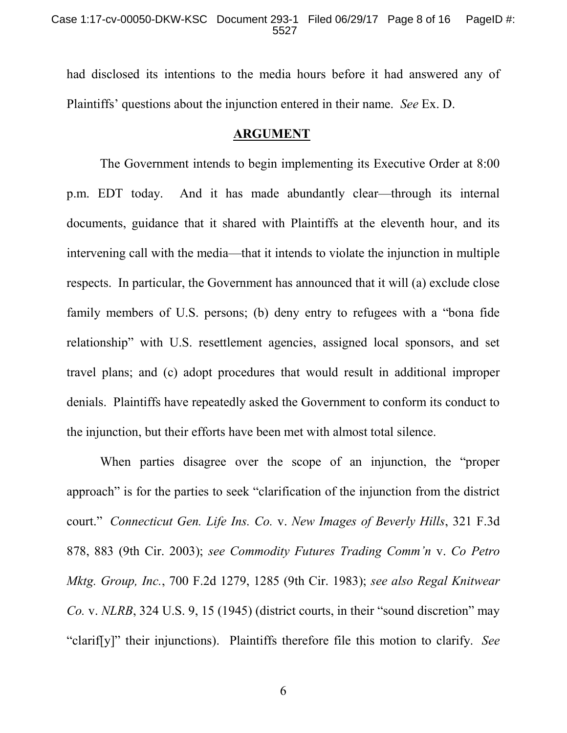had disclosed its intentions to the media hours before it had answered any of Plaintiffs' questions about the injunction entered in their name. *See* Ex. D.

## **ARGUMENT**

The Government intends to begin implementing its Executive Order at 8:00 p.m. EDT today. And it has made abundantly clear—through its internal documents, guidance that it shared with Plaintiffs at the eleventh hour, and its intervening call with the media—that it intends to violate the injunction in multiple respects. In particular, the Government has announced that it will (a) exclude close family members of U.S. persons; (b) deny entry to refugees with a "bona fide relationship" with U.S. resettlement agencies, assigned local sponsors, and set travel plans; and (c) adopt procedures that would result in additional improper denials. Plaintiffs have repeatedly asked the Government to conform its conduct to the injunction, but their efforts have been met with almost total silence.

When parties disagree over the scope of an injunction, the "proper approach" is for the parties to seek "clarification of the injunction from the district court." *Connecticut Gen. Life Ins. Co.* v. *New Images of Beverly Hills*, 321 F.3d 878, 883 (9th Cir. 2003); *see Commodity Futures Trading Comm'n* v. *Co Petro Mktg. Group, Inc.*, 700 F.2d 1279, 1285 (9th Cir. 1983); *see also Regal Knitwear Co.* v. *NLRB*, 324 U.S. 9, 15 (1945) (district courts, in their "sound discretion" may "clarif[y]" their injunctions). Plaintiffs therefore file this motion to clarify. *See*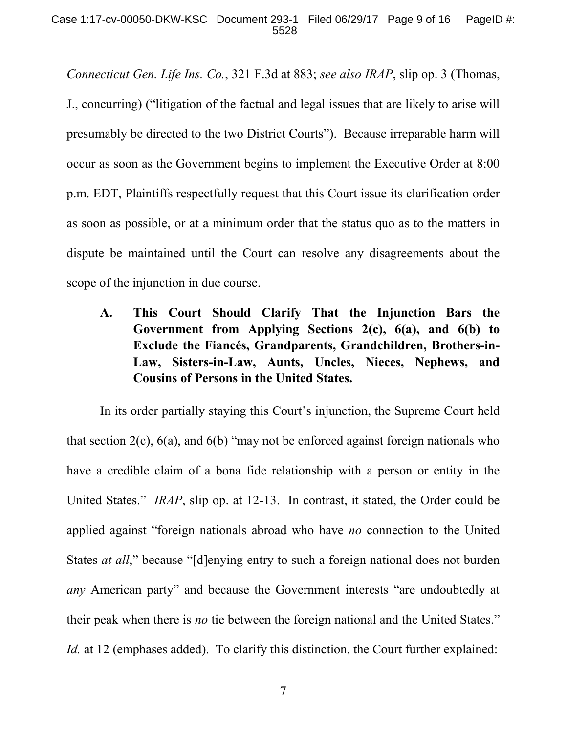*Connecticut Gen. Life Ins. Co.*, 321 F.3d at 883; *see also IRAP*, slip op. 3 (Thomas, J., concurring) ("litigation of the factual and legal issues that are likely to arise will presumably be directed to the two District Courts"). Because irreparable harm will occur as soon as the Government begins to implement the Executive Order at 8:00 p.m. EDT, Plaintiffs respectfully request that this Court issue its clarification order as soon as possible, or at a minimum order that the status quo as to the matters in dispute be maintained until the Court can resolve any disagreements about the scope of the injunction in due course.

**A. This Court Should Clarify That the Injunction Bars the Government from Applying Sections 2(c), 6(a), and 6(b) to Exclude the Fiancés, Grandparents, Grandchildren, Brothers-in-Law, Sisters-in-Law, Aunts, Uncles, Nieces, Nephews, and Cousins of Persons in the United States.**

In its order partially staying this Court's injunction, the Supreme Court held that section  $2(c)$ ,  $6(a)$ , and  $6(b)$  "may not be enforced against foreign nationals who have a credible claim of a bona fide relationship with a person or entity in the United States." *IRAP*, slip op. at 12-13. In contrast, it stated, the Order could be applied against "foreign nationals abroad who have *no* connection to the United States *at all*," because "[d]enying entry to such a foreign national does not burden *any* American party" and because the Government interests "are undoubtedly at their peak when there is *no* tie between the foreign national and the United States." *Id.* at 12 (emphases added). To clarify this distinction, the Court further explained: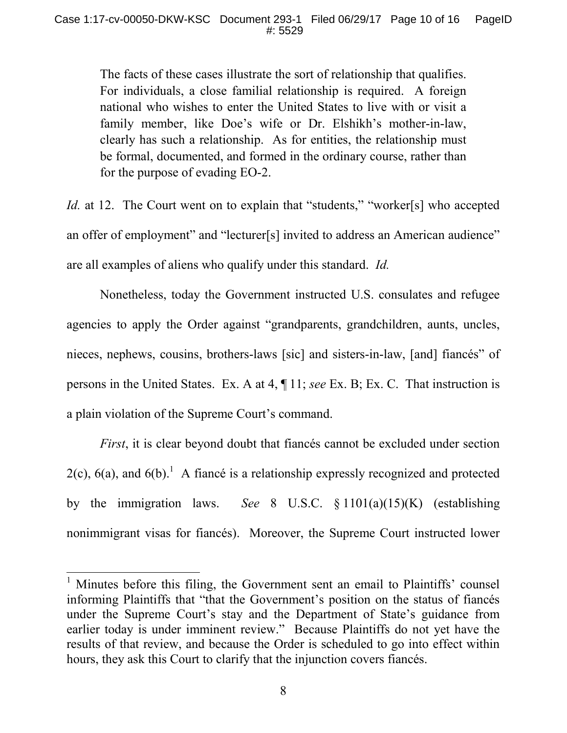The facts of these cases illustrate the sort of relationship that qualifies. For individuals, a close familial relationship is required. A foreign national who wishes to enter the United States to live with or visit a family member, like Doe's wife or Dr. Elshikh's mother-in-law, clearly has such a relationship. As for entities, the relationship must be formal, documented, and formed in the ordinary course, rather than for the purpose of evading EO-2.

*Id.* at 12. The Court went on to explain that "students," "worker[s] who accepted an offer of employment" and "lecturer[s] invited to address an American audience" are all examples of aliens who qualify under this standard. *Id.*

Nonetheless, today the Government instructed U.S. consulates and refugee agencies to apply the Order against "grandparents, grandchildren, aunts, uncles, nieces, nephews, cousins, brothers-laws [sic] and sisters-in-law, [and] fiancés" of persons in the United States. Ex. A at 4, ¶ 11; *see* Ex. B; Ex. C. That instruction is a plain violation of the Supreme Court's command.

*First*, it is clear beyond doubt that fiancés cannot be excluded under section  $2(c)$ ,  $6(a)$ , and  $6(b)$ .<sup>1</sup> A fiance is a relationship expressly recognized and protected by the immigration laws. *See* 8 U.S.C. § 1101(a)(15)(K) (establishing nonimmigrant visas for fiancés). Moreover, the Supreme Court instructed lower

<sup>&</sup>lt;sup>1</sup> Minutes before this filing, the Government sent an email to Plaintiffs' counsel informing Plaintiffs that "that the Government's position on the status of fiancés under the Supreme Court's stay and the Department of State's guidance from earlier today is under imminent review." Because Plaintiffs do not yet have the results of that review, and because the Order is scheduled to go into effect within hours, they ask this Court to clarify that the injunction covers fiancés.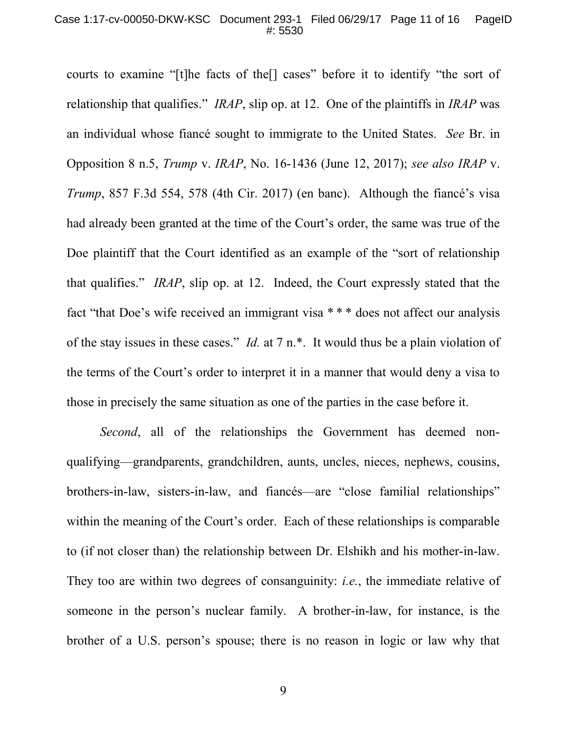courts to examine "[t]he facts of the[] cases" before it to identify "the sort of relationship that qualifies." *IRAP*, slip op. at 12. One of the plaintiffs in *IRAP* was an individual whose fiancé sought to immigrate to the United States. *See* Br. in Opposition 8 n.5, *Trump* v. *IRAP*, No. 16-1436 (June 12, 2017); *see also IRAP* v. *Trump*, 857 F.3d 554, 578 (4th Cir. 2017) (en banc). Although the fiancé's visa had already been granted at the time of the Court's order, the same was true of the Doe plaintiff that the Court identified as an example of the "sort of relationship that qualifies." *IRAP*, slip op. at 12. Indeed, the Court expressly stated that the fact "that Doe's wife received an immigrant visa \* \* \* does not affect our analysis of the stay issues in these cases." *Id.* at 7 n.\*. It would thus be a plain violation of the terms of the Court's order to interpret it in a manner that would deny a visa to those in precisely the same situation as one of the parties in the case before it.

*Second*, all of the relationships the Government has deemed nonqualifying—grandparents, grandchildren, aunts, uncles, nieces, nephews, cousins, brothers-in-law, sisters-in-law, and fiancés—are "close familial relationships" within the meaning of the Court's order. Each of these relationships is comparable to (if not closer than) the relationship between Dr. Elshikh and his mother-in-law. They too are within two degrees of consanguinity: *i.e.*, the immediate relative of someone in the person's nuclear family. A brother-in-law, for instance, is the brother of a U.S. person's spouse; there is no reason in logic or law why that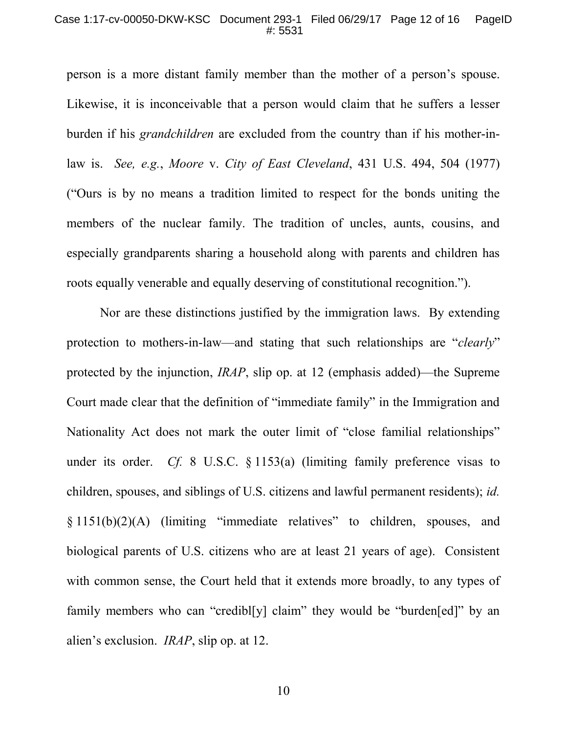#### Case 1:17-cv-00050-DKW-KSC Document 293-1 Filed 06/29/17 Page 12 of 16 PageID #: 5531

person is a more distant family member than the mother of a person's spouse. Likewise, it is inconceivable that a person would claim that he suffers a lesser burden if his *grandchildren* are excluded from the country than if his mother-inlaw is. *See, e.g.*, *Moore* v. *City of East Cleveland*, 431 U.S. 494, 504 (1977) ("Ours is by no means a tradition limited to respect for the bonds uniting the members of the nuclear family. The tradition of uncles, aunts, cousins, and especially grandparents sharing a household along with parents and children has roots equally venerable and equally deserving of constitutional recognition.").

Nor are these distinctions justified by the immigration laws. By extending protection to mothers-in-law—and stating that such relationships are "*clearly*" protected by the injunction, *IRAP*, slip op. at 12 (emphasis added)—the Supreme Court made clear that the definition of "immediate family" in the Immigration and Nationality Act does not mark the outer limit of "close familial relationships" under its order. *Cf.* 8 U.S.C. § 1153(a) (limiting family preference visas to children, spouses, and siblings of U.S. citizens and lawful permanent residents); *id.* § 1151(b)(2)(A) (limiting "immediate relatives" to children, spouses, and biological parents of U.S. citizens who are at least 21 years of age). Consistent with common sense, the Court held that it extends more broadly, to any types of family members who can "credible valued" they would be "burdened" by an alien's exclusion. *IRAP*, slip op. at 12.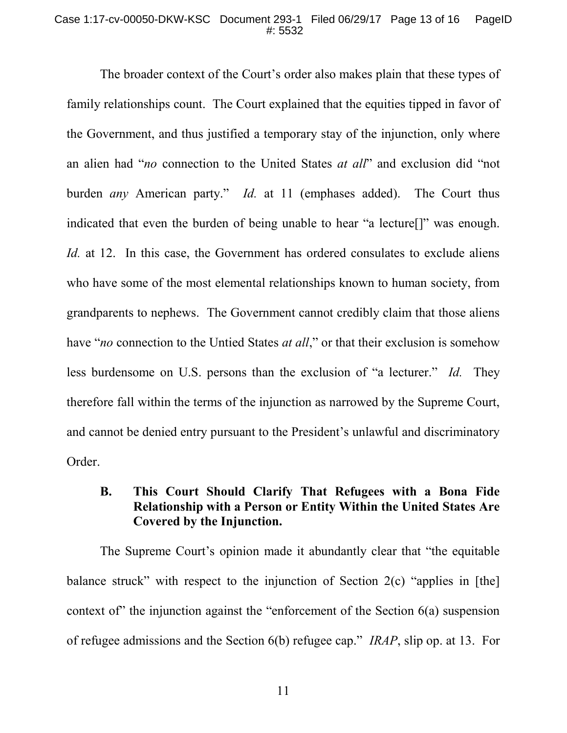### Case 1:17-cv-00050-DKW-KSC Document 293-1 Filed 06/29/17 Page 13 of 16 PageID #: 5532

The broader context of the Court's order also makes plain that these types of family relationships count. The Court explained that the equities tipped in favor of the Government, and thus justified a temporary stay of the injunction, only where an alien had "*no* connection to the United States *at all*" and exclusion did "not burden *any* American party." *Id.* at 11 (emphases added). The Court thus indicated that even the burden of being unable to hear "a lecture[]" was enough. *Id.* at 12. In this case, the Government has ordered consulates to exclude aliens who have some of the most elemental relationships known to human society, from grandparents to nephews. The Government cannot credibly claim that those aliens have "*no* connection to the Untied States *at all*," or that their exclusion is somehow less burdensome on U.S. persons than the exclusion of "a lecturer." *Id.* They therefore fall within the terms of the injunction as narrowed by the Supreme Court, and cannot be denied entry pursuant to the President's unlawful and discriminatory Order.

# **B. This Court Should Clarify That Refugees with a Bona Fide Relationship with a Person or Entity Within the United States Are Covered by the Injunction.**

The Supreme Court's opinion made it abundantly clear that "the equitable balance struck" with respect to the injunction of Section 2(c) "applies in [the] context of the injunction against the "enforcement of the Section  $6(a)$  suspension of refugee admissions and the Section 6(b) refugee cap." *IRAP*, slip op. at 13. For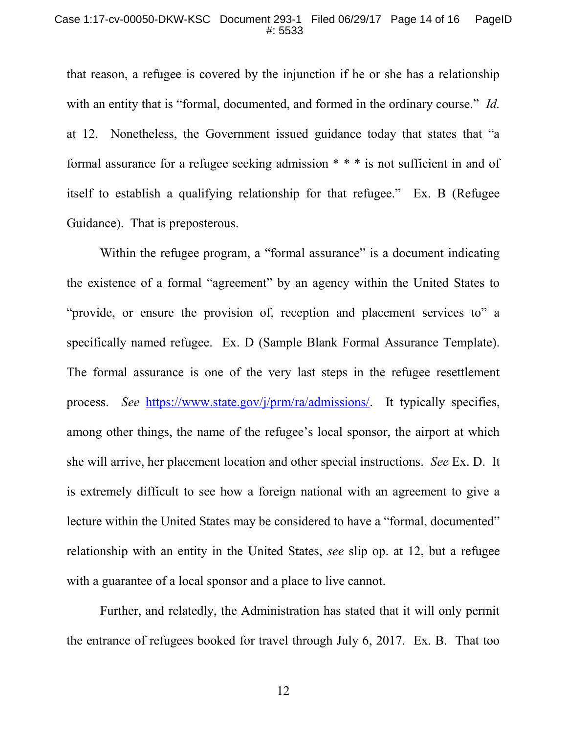that reason, a refugee is covered by the injunction if he or she has a relationship with an entity that is "formal, documented, and formed in the ordinary course." *Id.* at 12. Nonetheless, the Government issued guidance today that states that "a formal assurance for a refugee seeking admission \* \* \* is not sufficient in and of itself to establish a qualifying relationship for that refugee." Ex. B (Refugee Guidance). That is preposterous.

Within the refugee program, a "formal assurance" is a document indicating the existence of a formal "agreement" by an agency within the United States to "provide, or ensure the provision of, reception and placement services to" a specifically named refugee. Ex. D (Sample Blank Formal Assurance Template). The formal assurance is one of the very last steps in the refugee resettlement process. *See* https://www.state.gov/j/prm/ra/admissions/. It typically specifies, among other things, the name of the refugee's local sponsor, the airport at which she will arrive, her placement location and other special instructions. *See* Ex. D. It is extremely difficult to see how a foreign national with an agreement to give a lecture within the United States may be considered to have a "formal, documented" relationship with an entity in the United States, *see* slip op. at 12, but a refugee with a guarantee of a local sponsor and a place to live cannot.

Further, and relatedly, the Administration has stated that it will only permit the entrance of refugees booked for travel through July 6, 2017. Ex. B. That too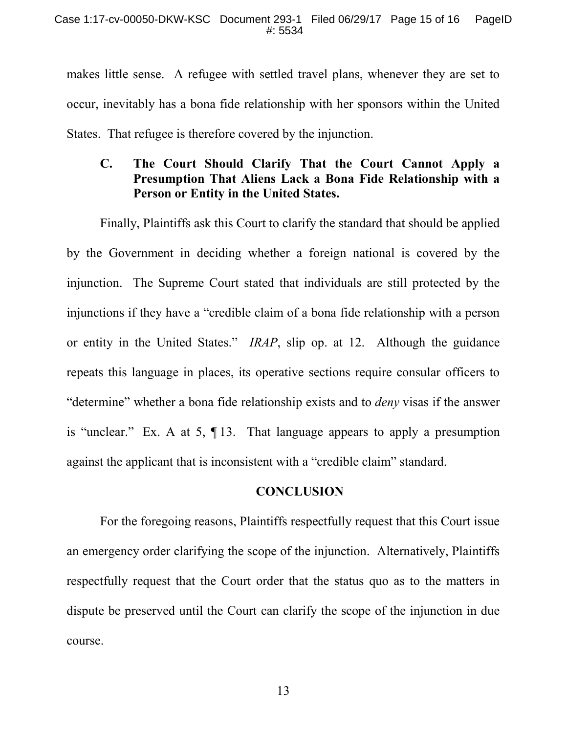makes little sense. A refugee with settled travel plans, whenever they are set to occur, inevitably has a bona fide relationship with her sponsors within the United States. That refugee is therefore covered by the injunction.

# **C. The Court Should Clarify That the Court Cannot Apply a Presumption That Aliens Lack a Bona Fide Relationship with a Person or Entity in the United States.**

Finally, Plaintiffs ask this Court to clarify the standard that should be applied by the Government in deciding whether a foreign national is covered by the injunction. The Supreme Court stated that individuals are still protected by the injunctions if they have a "credible claim of a bona fide relationship with a person or entity in the United States." *IRAP*, slip op. at 12. Although the guidance repeats this language in places, its operative sections require consular officers to "determine" whether a bona fide relationship exists and to *deny* visas if the answer is "unclear." Ex. A at 5, ¶ 13. That language appears to apply a presumption against the applicant that is inconsistent with a "credible claim" standard.

## **CONCLUSION**

For the foregoing reasons, Plaintiffs respectfully request that this Court issue an emergency order clarifying the scope of the injunction. Alternatively, Plaintiffs respectfully request that the Court order that the status quo as to the matters in dispute be preserved until the Court can clarify the scope of the injunction in due course.